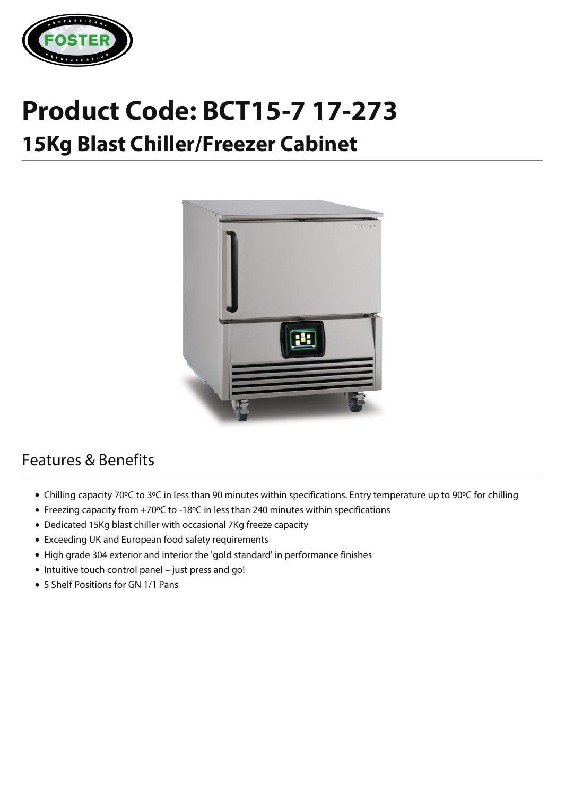

## **Product Code: BCT15-7 17-273 15Kg Blast Chiller/Freezer Cabinet**



## Features & Benefits

- Chilling capacity 70ºC to 3ºC in less than 90 minutes within specifications. Entry temperature up to 90ºC for chilling
- Freezing capacity from +70ºC to -18ºC in less than 240 minutes within specifications
- Dedicated 15Kg blast chiller with occasional 7Kg freeze capacity
- Exceeding UK and European food safety requirements
- High grade 304 exterior and interior the 'gold standard' in performance finishes
- Intuitive touch control panel just press and go!
- 5 Shelf Positions for GN 1/1 Pans